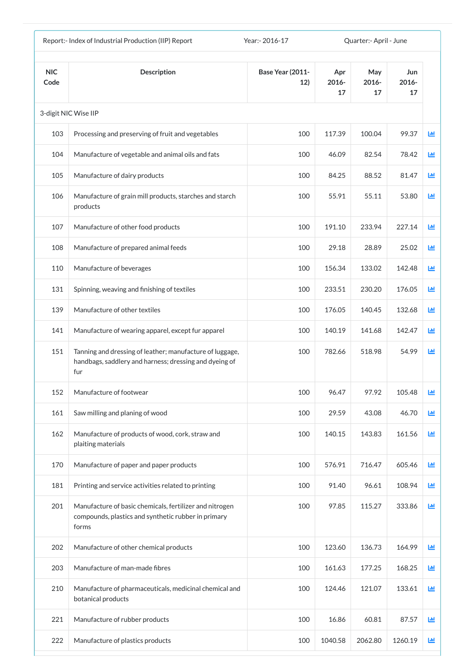|                    | Report:- Index of Industrial Production (IIP) Report                                                                      | Year:- 2016-17          |                       | Quarter: - April - June |                    |   |
|--------------------|---------------------------------------------------------------------------------------------------------------------------|-------------------------|-----------------------|-------------------------|--------------------|---|
| <b>NIC</b><br>Code | <b>Description</b>                                                                                                        | Base Year (2011-<br>12) | Apr<br>$2016 -$<br>17 | May<br>2016-<br>17      | Jun<br>2016-<br>17 |   |
|                    | 3-digit NIC Wise IIP                                                                                                      |                         |                       |                         |                    |   |
| 103                | Processing and preserving of fruit and vegetables                                                                         | 100                     | 117.39                | 100.04                  | 99.37              | 國 |
| 104                | Manufacture of vegetable and animal oils and fats                                                                         | 100                     | 46.09                 | 82.54                   | 78.42              | 画 |
| 105                | Manufacture of dairy products                                                                                             | 100                     | 84.25                 | 88.52                   | 81.47              | 画 |
| 106                | Manufacture of grain mill products, starches and starch<br>products                                                       | 100                     | 55.91                 | 55.11                   | 53.80              | 匝 |
| 107                | Manufacture of other food products                                                                                        | 100                     | 191.10                | 233.94                  | 227.14             | 画 |
| 108                | Manufacture of prepared animal feeds                                                                                      | 100                     | 29.18                 | 28.89                   | 25.02              | 匝 |
| 110                | Manufacture of beverages                                                                                                  | 100                     | 156.34                | 133.02                  | 142.48             | ш |
| 131                | Spinning, weaving and finishing of textiles                                                                               | 100                     | 233.51                | 230.20                  | 176.05             | ш |
| 139                | Manufacture of other textiles                                                                                             | 100                     | 176.05                | 140.45                  | 132.68             | Ш |
| 141                | Manufacture of wearing apparel, except fur apparel                                                                        | 100                     | 140.19                | 141.68                  | 142.47             | ш |
| 151                | Tanning and dressing of leather; manufacture of luggage,<br>handbags, saddlery and harness; dressing and dyeing of<br>fur | 100                     | 782.66                | 518.98                  | 54.99              | 画 |
| 152                | Manufacture of footwear                                                                                                   | 100                     | 96.47                 | 97.92                   | 105.48             | 画 |
| 161                | Saw milling and planing of wood                                                                                           | 100                     | 29.59                 | 43.08                   | 46.70              | Ш |
| 162                | Manufacture of products of wood, cork, straw and<br>plaiting materials                                                    | 100                     | 140.15                | 143.83                  | 161.56             | Ш |
| 170                | Manufacture of paper and paper products                                                                                   | 100                     | 576.91                | 716.47                  | 605.46             | 画 |
| 181                | Printing and service activities related to printing                                                                       | 100                     | 91.40                 | 96.61                   | 108.94             | Ш |
| 201                | Manufacture of basic chemicals, fertilizer and nitrogen<br>compounds, plastics and synthetic rubber in primary<br>forms   | 100                     | 97.85                 | 115.27                  | 333.86             | ш |
| 202                | Manufacture of other chemical products                                                                                    | 100                     | 123.60                | 136.73                  | 164.99             | 画 |
| 203                | Manufacture of man-made fibres                                                                                            | 100                     | 161.63                | 177.25                  | 168.25             | 画 |
| 210                | Manufacture of pharmaceuticals, medicinal chemical and<br>botanical products                                              | 100                     | 124.46                | 121.07                  | 133.61             | ш |
| 221                | Manufacture of rubber products                                                                                            | 100                     | 16.86                 | 60.81                   | 87.57              | Ш |
| 222                | Manufacture of plastics products                                                                                          | 100                     | 1040.58               | 2062.80                 | 1260.19            | ш |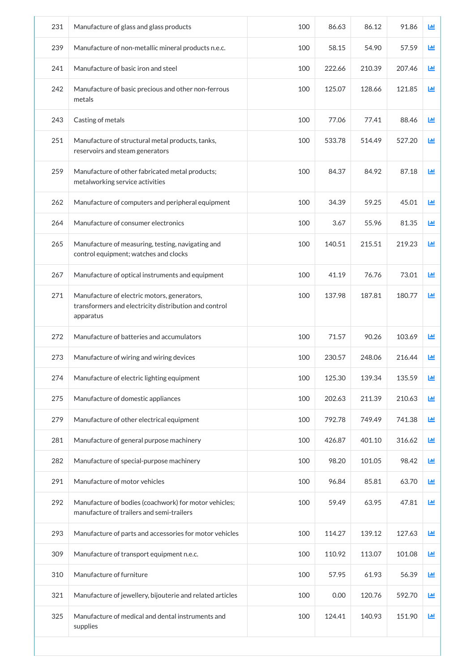| 231 | Manufacture of glass and glass products                                                                           | 100 | 86.63  | 86.12  | 91.86  | ĿЩ         |
|-----|-------------------------------------------------------------------------------------------------------------------|-----|--------|--------|--------|------------|
| 239 | Manufacture of non-metallic mineral products n.e.c.                                                               | 100 | 58.15  | 54.90  | 57.59  | ĿЩ         |
| 241 | Manufacture of basic iron and steel                                                                               | 100 | 222.66 | 210.39 | 207.46 | <u>lad</u> |
| 242 | Manufacture of basic precious and other non-ferrous<br>metals                                                     | 100 | 125.07 | 128.66 | 121.85 | <b>Lul</b> |
| 243 | Casting of metals                                                                                                 | 100 | 77.06  | 77.41  | 88.46  | ĿЩ         |
| 251 | Manufacture of structural metal products, tanks,<br>reservoirs and steam generators                               | 100 | 533.78 | 514.49 | 527.20 | 画          |
| 259 | Manufacture of other fabricated metal products;<br>metalworking service activities                                | 100 | 84.37  | 84.92  | 87.18  | ĿШ         |
| 262 | Manufacture of computers and peripheral equipment                                                                 | 100 | 34.39  | 59.25  | 45.01  | 画          |
| 264 | Manufacture of consumer electronics                                                                               | 100 | 3.67   | 55.96  | 81.35  | 画          |
| 265 | Manufacture of measuring, testing, navigating and<br>control equipment; watches and clocks                        | 100 | 140.51 | 215.51 | 219.23 | 画          |
| 267 | Manufacture of optical instruments and equipment                                                                  | 100 | 41.19  | 76.76  | 73.01  | ĿЩ         |
| 271 | Manufacture of electric motors, generators,<br>transformers and electricity distribution and control<br>apparatus | 100 | 137.98 | 187.81 | 180.77 | 画          |
| 272 | Manufacture of batteries and accumulators                                                                         | 100 | 71.57  | 90.26  | 103.69 | ĿЩ         |
| 273 | Manufacture of wiring and wiring devices                                                                          | 100 | 230.57 | 248.06 | 216.44 | ĿЩ         |
| 274 | Manufacture of electric lighting equipment                                                                        | 100 | 125.30 | 139.34 | 135.59 | ĿЩ         |
| 275 | Manufacture of domestic appliances                                                                                | 100 | 202.63 | 211.39 | 210.63 | ш          |
| 279 | Manufacture of other electrical equipment                                                                         | 100 | 792.78 | 749.49 | 741.38 | 画          |
| 281 | Manufacture of general purpose machinery                                                                          | 100 | 426.87 | 401.10 | 316.62 | 画          |
| 282 | Manufacture of special-purpose machinery                                                                          | 100 | 98.20  | 101.05 | 98.42  | 画          |
| 291 | Manufacture of motor vehicles                                                                                     | 100 | 96.84  | 85.81  | 63.70  | 画          |
| 292 | Manufacture of bodies (coachwork) for motor vehicles;<br>manufacture of trailers and semi-trailers                | 100 | 59.49  | 63.95  | 47.81  | 画          |
| 293 | Manufacture of parts and accessories for motor vehicles                                                           | 100 | 114.27 | 139.12 | 127.63 | 画          |
| 309 | Manufacture of transport equipment n.e.c.                                                                         | 100 | 110.92 | 113.07 | 101.08 | 画          |
| 310 | Manufacture of furniture                                                                                          | 100 | 57.95  | 61.93  | 56.39  | 画          |
| 321 | Manufacture of jewellery, bijouterie and related articles                                                         | 100 | 0.00   | 120.76 | 592.70 | μщ         |
| 325 | Manufacture of medical and dental instruments and<br>supplies                                                     | 100 | 124.41 | 140.93 | 151.90 | ĿЩ         |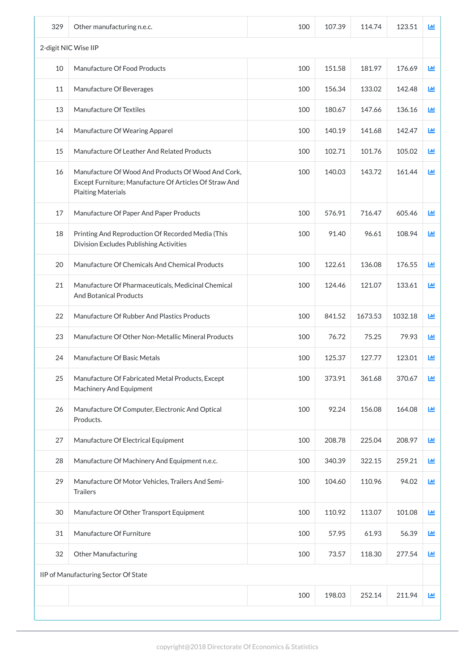| 329 | Other manufacturing n.e.c.                                                                                                                | 100 | 107.39 | 114.74  | 123.51  | 画            |
|-----|-------------------------------------------------------------------------------------------------------------------------------------------|-----|--------|---------|---------|--------------|
|     | 2-digit NIC Wise IIP                                                                                                                      |     |        |         |         |              |
| 10  | Manufacture Of Food Products                                                                                                              | 100 | 151.58 | 181.97  | 176.69  | 画            |
| 11  | Manufacture Of Beverages                                                                                                                  | 100 | 156.34 | 133.02  | 142.48  | ĿЩ           |
| 13  | Manufacture Of Textiles                                                                                                                   | 100 | 180.67 | 147.66  | 136.16  | LЩ           |
| 14  | Manufacture Of Wearing Apparel                                                                                                            | 100 | 140.19 | 141.68  | 142.47  | ĿЩ           |
| 15  | Manufacture Of Leather And Related Products                                                                                               | 100 | 102.71 | 101.76  | 105.02  | 画            |
| 16  | Manufacture Of Wood And Products Of Wood And Cork,<br>Except Furniture; Manufacture Of Articles Of Straw And<br><b>Plaiting Materials</b> | 100 | 140.03 | 143.72  | 161.44  | 画            |
| 17  | Manufacture Of Paper And Paper Products                                                                                                   | 100 | 576.91 | 716.47  | 605.46  | ĿЩ           |
| 18  | Printing And Reproduction Of Recorded Media (This<br>Division Excludes Publishing Activities                                              | 100 | 91.40  | 96.61   | 108.94  | 画            |
| 20  | Manufacture Of Chemicals And Chemical Products                                                                                            | 100 | 122.61 | 136.08  | 176.55  | ĿЩ           |
| 21  | Manufacture Of Pharmaceuticals, Medicinal Chemical<br><b>And Botanical Products</b>                                                       | 100 | 124.46 | 121.07  | 133.61  | LЩ           |
| 22  | Manufacture Of Rubber And Plastics Products                                                                                               | 100 | 841.52 | 1673.53 | 1032.18 | ĿШ           |
| 23  | Manufacture Of Other Non-Metallic Mineral Products                                                                                        | 100 | 76.72  | 75.25   | 79.93   | ĿШ           |
| 24  | Manufacture Of Basic Metals                                                                                                               | 100 | 125.37 | 127.77  | 123.01  | 画            |
| 25  | Manufacture Of Fabricated Metal Products, Except<br><b>Machinery And Equipment</b>                                                        | 100 | 373.91 | 361.68  | 370.67  | LЩ           |
| 26  | Manufacture Of Computer, Electronic And Optical<br>Products.                                                                              | 100 | 92.24  | 156.08  | 164.08  | LЩ           |
| 27  | Manufacture Of Electrical Equipment                                                                                                       | 100 | 208.78 | 225.04  | 208.97  | 画            |
| 28  | Manufacture Of Machinery And Equipment n.e.c.                                                                                             | 100 | 340.39 | 322.15  | 259.21  | ĿЩ           |
| 29  | Manufacture Of Motor Vehicles, Trailers And Semi-<br><b>Trailers</b>                                                                      | 100 | 104.60 | 110.96  | 94.02   | 画            |
| 30  | Manufacture Of Other Transport Equipment                                                                                                  | 100 | 110.92 | 113.07  | 101.08  | 画            |
| 31  | Manufacture Of Furniture                                                                                                                  | 100 | 57.95  | 61.93   | 56.39   | 画            |
| 32  | <b>Other Manufacturing</b>                                                                                                                | 100 | 73.57  | 118.30  | 277.54  | 画            |
|     | IIP of Manufacturing Sector Of State                                                                                                      |     |        |         |         |              |
|     |                                                                                                                                           | 100 | 198.03 | 252.14  | 211.94  | $\mathbf{L}$ |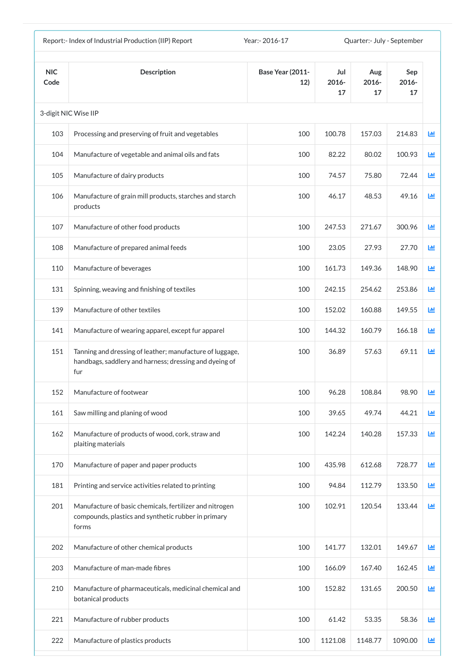|                    | Report:- Index of Industrial Production (IIP) Report                                                                      | Year: - 2016-17                |                    | Quarter:- July - September |                    |   |
|--------------------|---------------------------------------------------------------------------------------------------------------------------|--------------------------------|--------------------|----------------------------|--------------------|---|
| <b>NIC</b><br>Code | <b>Description</b>                                                                                                        | <b>Base Year (2011-</b><br>12) | Jul<br>2016-<br>17 | Aug<br>$2016 -$<br>17      | Sep<br>2016-<br>17 |   |
|                    | 3-digit NIC Wise IIP                                                                                                      |                                |                    |                            |                    |   |
| 103                | Processing and preserving of fruit and vegetables                                                                         | 100                            | 100.78             | 157.03                     | 214.83             | 匝 |
| 104                | Manufacture of vegetable and animal oils and fats                                                                         | 100                            | 82.22              | 80.02                      | 100.93             | 匝 |
| 105                | Manufacture of dairy products                                                                                             | 100                            | 74.57              | 75.80                      | 72.44              | 國 |
| 106                | Manufacture of grain mill products, starches and starch<br>products                                                       | 100                            | 46.17              | 48.53                      | 49.16              | 匝 |
| 107                | Manufacture of other food products                                                                                        | 100                            | 247.53             | 271.67                     | 300.96             | 画 |
| 108                | Manufacture of prepared animal feeds                                                                                      | 100                            | 23.05              | 27.93                      | 27.70              | 画 |
| 110                | Manufacture of beverages                                                                                                  | 100                            | 161.73             | 149.36                     | 148.90             | 匝 |
| 131                | Spinning, weaving and finishing of textiles                                                                               | 100                            | 242.15             | 254.62                     | 253.86             | ш |
| 139                | Manufacture of other textiles                                                                                             | 100                            | 152.02             | 160.88                     | 149.55             | ш |
| 141                | Manufacture of wearing apparel, except fur apparel                                                                        | 100                            | 144.32             | 160.79                     | 166.18             | ш |
| 151                | Tanning and dressing of leather; manufacture of luggage,<br>handbags, saddlery and harness; dressing and dyeing of<br>fur | 100                            | 36.89              | 57.63                      | 69.11              | 匝 |
| 152                | Manufacture of footwear                                                                                                   | 100                            | 96.28              | 108.84                     | 98.90              | Ш |
| 161                | Saw milling and planing of wood                                                                                           | 100                            | 39.65              | 49.74                      | 44.21              | 画 |
| 162                | Manufacture of products of wood, cork, straw and<br>plaiting materials                                                    | 100                            | 142.24             | 140.28                     | 157.33             | 匝 |
| 170                | Manufacture of paper and paper products                                                                                   | 100                            | 435.98             | 612.68                     | 728.77             | 画 |
| 181                | Printing and service activities related to printing                                                                       | 100                            | 94.84              | 112.79                     | 133.50             | 画 |
| 201                | Manufacture of basic chemicals, fertilizer and nitrogen<br>compounds, plastics and synthetic rubber in primary<br>forms   | 100                            | 102.91             | 120.54                     | 133.44             | 画 |
| 202                | Manufacture of other chemical products                                                                                    | 100                            | 141.77             | 132.01                     | 149.67             | 画 |
| 203                | Manufacture of man-made fibres                                                                                            | 100                            | 166.09             | 167.40                     | 162.45             | 画 |
| 210                | Manufacture of pharmaceuticals, medicinal chemical and<br>botanical products                                              | 100                            | 152.82             | 131.65                     | 200.50             | 画 |
| 221                | Manufacture of rubber products                                                                                            | 100                            | 61.42              | 53.35                      | 58.36              | ш |
| 222                | Manufacture of plastics products                                                                                          | 100                            | 1121.08            | 1148.77                    | 1090.00            | Ш |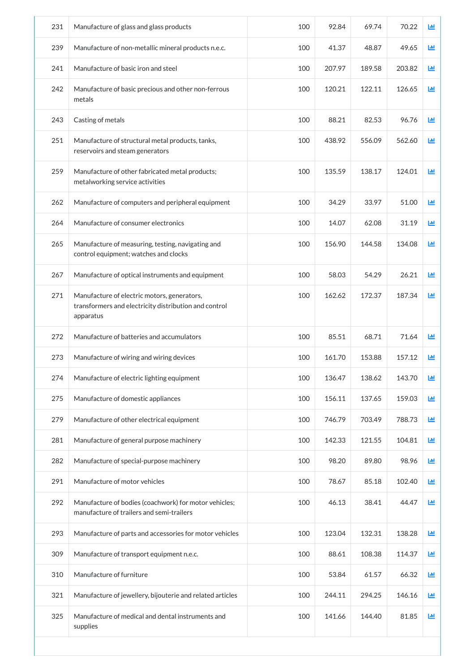| 231 | Manufacture of glass and glass products                                                                           | 100 | 92.84  | 69.74  | 70.22  | 画          |
|-----|-------------------------------------------------------------------------------------------------------------------|-----|--------|--------|--------|------------|
| 239 | Manufacture of non-metallic mineral products n.e.c.                                                               | 100 | 41.37  | 48.87  | 49.65  | Щ          |
| 241 | Manufacture of basic iron and steel                                                                               | 100 | 207.97 | 189.58 | 203.82 | ĿШ         |
| 242 | Manufacture of basic precious and other non-ferrous<br>metals                                                     | 100 | 120.21 | 122.11 | 126.65 | <b>Lul</b> |
| 243 | Casting of metals                                                                                                 | 100 | 88.21  | 82.53  | 96.76  | <b>Lid</b> |
| 251 | Manufacture of structural metal products, tanks,<br>reservoirs and steam generators                               | 100 | 438.92 | 556.09 | 562.60 | 画          |
| 259 | Manufacture of other fabricated metal products;<br>metalworking service activities                                | 100 | 135.59 | 138.17 | 124.01 | 画          |
| 262 | Manufacture of computers and peripheral equipment                                                                 | 100 | 34.29  | 33.97  | 51.00  | 画          |
| 264 | Manufacture of consumer electronics                                                                               | 100 | 14.07  | 62.08  | 31.19  | 画          |
| 265 | Manufacture of measuring, testing, navigating and<br>control equipment; watches and clocks                        | 100 | 156.90 | 144.58 | 134.08 | ĿЩ         |
| 267 | Manufacture of optical instruments and equipment                                                                  | 100 | 58.03  | 54.29  | 26.21  | ĿШ         |
| 271 | Manufacture of electric motors, generators,<br>transformers and electricity distribution and control<br>apparatus | 100 | 162.62 | 172.37 | 187.34 | ĿЩ         |
| 272 | Manufacture of batteries and accumulators                                                                         | 100 | 85.51  | 68.71  | 71.64  | <b>Jul</b> |
| 273 | Manufacture of wiring and wiring devices                                                                          | 100 | 161.70 | 153.88 | 157.12 | 画          |
| 274 | Manufacture of electric lighting equipment                                                                        | 100 | 136.47 | 138.62 | 143.70 | 画          |
| 275 | Manufacture of domestic appliances                                                                                | 100 | 156.11 | 137.65 | 159.03 | LЩ         |
| 279 | Manufacture of other electrical equipment                                                                         | 100 | 746.79 | 703.49 | 788.73 | ĿЩ         |
| 281 | Manufacture of general purpose machinery                                                                          | 100 | 142.33 | 121.55 | 104.81 | 画          |
| 282 | Manufacture of special-purpose machinery                                                                          | 100 | 98.20  | 89.80  | 98.96  | 画          |
| 291 | Manufacture of motor vehicles                                                                                     | 100 | 78.67  | 85.18  | 102.40 | 画          |
| 292 | Manufacture of bodies (coachwork) for motor vehicles;<br>manufacture of trailers and semi-trailers                | 100 | 46.13  | 38.41  | 44.47  | 画          |
| 293 | Manufacture of parts and accessories for motor vehicles                                                           | 100 | 123.04 | 132.31 | 138.28 | 画          |
| 309 | Manufacture of transport equipment n.e.c.                                                                         | 100 | 88.61  | 108.38 | 114.37 | ĿЩ         |
| 310 | Manufacture of furniture                                                                                          | 100 | 53.84  | 61.57  | 66.32  | 画          |
| 321 | Manufacture of jewellery, bijouterie and related articles                                                         | 100 | 244.11 | 294.25 | 146.16 | 画          |
| 325 | Manufacture of medical and dental instruments and<br>supplies                                                     | 100 | 141.66 | 144.40 | 81.85  | ĿЩ         |
|     |                                                                                                                   |     |        |        |        |            |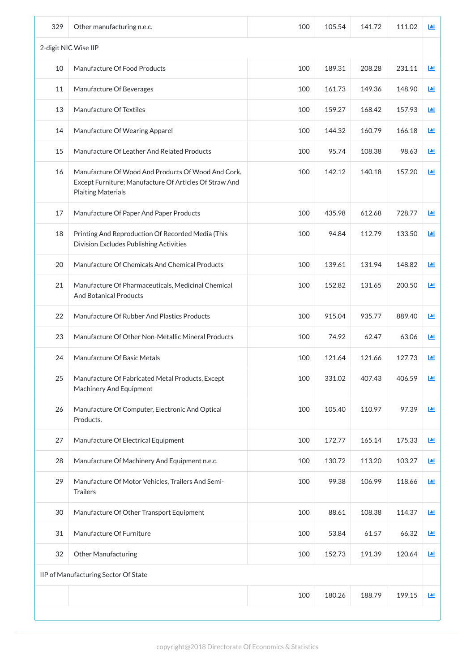| 329 | Other manufacturing n.e.c.                                                                                                                | 100 | 105.54 | 141.72 | 111.02 | 画            |
|-----|-------------------------------------------------------------------------------------------------------------------------------------------|-----|--------|--------|--------|--------------|
|     | 2-digit NIC Wise IIP                                                                                                                      |     |        |        |        |              |
| 10  | Manufacture Of Food Products                                                                                                              | 100 | 189.31 | 208.28 | 231.11 | 画            |
| 11  | Manufacture Of Beverages                                                                                                                  | 100 | 161.73 | 149.36 | 148.90 | ĿЩ           |
| 13  | Manufacture Of Textiles                                                                                                                   | 100 | 159.27 | 168.42 | 157.93 | LЩ           |
| 14  | Manufacture Of Wearing Apparel                                                                                                            | 100 | 144.32 | 160.79 | 166.18 | ĿЩ           |
| 15  | Manufacture Of Leather And Related Products                                                                                               | 100 | 95.74  | 108.38 | 98.63  | 画            |
| 16  | Manufacture Of Wood And Products Of Wood And Cork,<br>Except Furniture; Manufacture Of Articles Of Straw And<br><b>Plaiting Materials</b> | 100 | 142.12 | 140.18 | 157.20 | 画            |
| 17  | Manufacture Of Paper And Paper Products                                                                                                   | 100 | 435.98 | 612.68 | 728.77 | ĿЩ           |
| 18  | Printing And Reproduction Of Recorded Media (This<br>Division Excludes Publishing Activities                                              | 100 | 94.84  | 112.79 | 133.50 | 画            |
| 20  | Manufacture Of Chemicals And Chemical Products                                                                                            | 100 | 139.61 | 131.94 | 148.82 | 画            |
| 21  | Manufacture Of Pharmaceuticals, Medicinal Chemical<br><b>And Botanical Products</b>                                                       | 100 | 152.82 | 131.65 | 200.50 | LЩ           |
| 22  | Manufacture Of Rubber And Plastics Products                                                                                               | 100 | 915.04 | 935.77 | 889.40 | ĿШ           |
| 23  | Manufacture Of Other Non-Metallic Mineral Products                                                                                        | 100 | 74.92  | 62.47  | 63.06  | Щ            |
| 24  | Manufacture Of Basic Metals                                                                                                               | 100 | 121.64 | 121.66 | 127.73 | 画            |
| 25  | Manufacture Of Fabricated Metal Products, Except<br><b>Machinery And Equipment</b>                                                        | 100 | 331.02 | 407.43 | 406.59 | LЩ           |
| 26  | Manufacture Of Computer, Electronic And Optical<br>Products.                                                                              | 100 | 105.40 | 110.97 | 97.39  | LЩ           |
| 27  | Manufacture Of Electrical Equipment                                                                                                       | 100 | 172.77 | 165.14 | 175.33 | ĿЩ           |
| 28  | Manufacture Of Machinery And Equipment n.e.c.                                                                                             | 100 | 130.72 | 113.20 | 103.27 | ĿЩ           |
| 29  | Manufacture Of Motor Vehicles, Trailers And Semi-<br><b>Trailers</b>                                                                      | 100 | 99.38  | 106.99 | 118.66 | Щ            |
| 30  | Manufacture Of Other Transport Equipment                                                                                                  | 100 | 88.61  | 108.38 | 114.37 | 画            |
| 31  | Manufacture Of Furniture                                                                                                                  | 100 | 53.84  | 61.57  | 66.32  | $\mathbf{L}$ |
| 32  | <b>Other Manufacturing</b>                                                                                                                | 100 | 152.73 | 191.39 | 120.64 | $\mathbf{L}$ |
|     | IIP of Manufacturing Sector Of State                                                                                                      |     |        |        |        |              |
|     |                                                                                                                                           | 100 | 180.26 | 188.79 | 199.15 | $\mathbf{L}$ |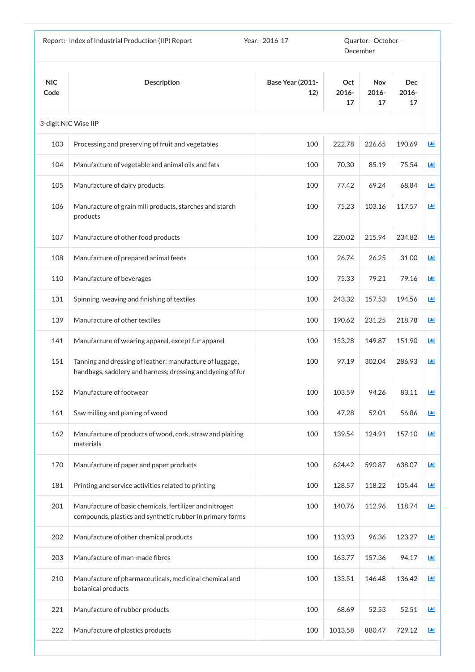|                    | Report:- Index of Industrial Production (IIP) Report<br>Year:- 2016-17                                                 |                                | Quarter:- October -<br>December |                           |                           |             |
|--------------------|------------------------------------------------------------------------------------------------------------------------|--------------------------------|---------------------------------|---------------------------|---------------------------|-------------|
| <b>NIC</b><br>Code | <b>Description</b>                                                                                                     | <b>Base Year (2011-</b><br>12) | Oct<br>$2016 -$<br>17           | <b>Nov</b><br>2016-<br>17 | <b>Dec</b><br>2016-<br>17 |             |
|                    | 3-digit NIC Wise IIP                                                                                                   |                                |                                 |                           |                           |             |
| 103                | Processing and preserving of fruit and vegetables                                                                      | 100                            | 222.78                          | 226.65                    | 190.69                    | 画           |
| 104                | Manufacture of vegetable and animal oils and fats                                                                      | 100                            | 70.30                           | 85.19                     | 75.54                     | $L_{\rm H}$ |
| 105                | Manufacture of dairy products                                                                                          | 100                            | 77.42                           | 69.24                     | 68.84                     | 画           |
| 106                | Manufacture of grain mill products, starches and starch<br>products                                                    | 100                            | 75.23                           | 103.16                    | 117.57                    | 画           |
| 107                | Manufacture of other food products                                                                                     | 100                            | 220.02                          | 215.94                    | 234.82                    | 画           |
| 108                | Manufacture of prepared animal feeds                                                                                   | 100                            | 26.74                           | 26.25                     | 31.00                     | 画           |
| 110                | Manufacture of beverages                                                                                               | 100                            | 75.33                           | 79.21                     | 79.16                     | Ш           |
| 131                | Spinning, weaving and finishing of textiles                                                                            | 100                            | 243.32                          | 157.53                    | 194.56                    | 画           |
| 139                | Manufacture of other textiles                                                                                          | 100                            | 190.62                          | 231.25                    | 218.78                    | 画           |
| 141                | Manufacture of wearing apparel, except fur apparel                                                                     | 100                            | 153.28                          | 149.87                    | 151.90                    | 画           |
| 151                | Tanning and dressing of leather; manufacture of luggage,<br>handbags, saddlery and harness; dressing and dyeing of fur | 100                            | 97.19                           | 302.04                    | 286.93                    | 画           |
| 152                | Manufacture of footwear                                                                                                | 100                            | 103.59                          | 94.26                     | 83.11                     | 画           |
| 161                | Saw milling and planing of wood                                                                                        | 100                            | 47.28                           | 52.01                     | 56.86                     | 画           |
| 162                | Manufacture of products of wood, cork, straw and plaiting<br>materials                                                 | 100                            | 139.54                          | 124.91                    | 157.10                    | 画           |
| 170                | Manufacture of paper and paper products                                                                                | 100                            | 624.42                          | 590.87                    | 638.07                    | 画           |
| 181                | Printing and service activities related to printing                                                                    | 100                            | 128.57                          | 118.22                    | 105.44                    | 画           |
| 201                | Manufacture of basic chemicals, fertilizer and nitrogen<br>compounds, plastics and synthetic rubber in primary forms   | 100                            | 140.76                          | 112.96                    | 118.74                    | 画           |
| 202                | Manufacture of other chemical products                                                                                 | 100                            | 113.93                          | 96.36                     | 123.27                    | 画           |
| 203                | Manufacture of man-made fibres                                                                                         | 100                            | 163.77                          | 157.36                    | 94.17                     | Ш           |
| 210                | Manufacture of pharmaceuticals, medicinal chemical and<br>botanical products                                           | 100                            | 133.51                          | 146.48                    | 136.42                    | Ш           |
| 221                | Manufacture of rubber products                                                                                         | 100                            | 68.69                           | 52.53                     | 52.51                     | 画           |
| 222                | Manufacture of plastics products                                                                                       | 100                            | 1013.58                         | 880.47                    | 729.12                    | 画           |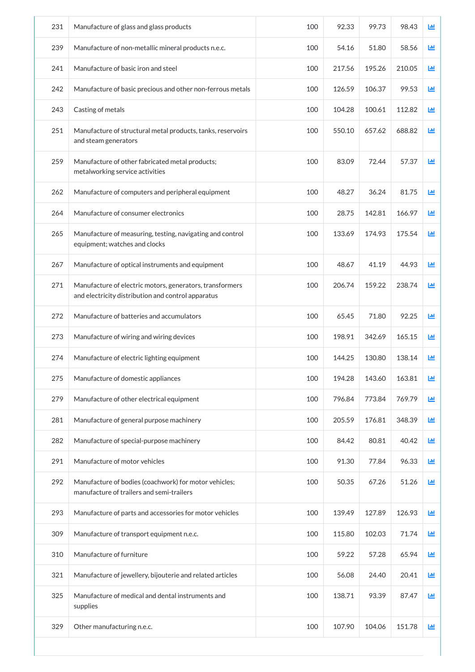| 231 | Manufacture of glass and glass products                                                                        | 100 | 92.33  | 99.73  | 98.43  | 画          |
|-----|----------------------------------------------------------------------------------------------------------------|-----|--------|--------|--------|------------|
| 239 | Manufacture of non-metallic mineral products n.e.c.                                                            | 100 | 54.16  | 51.80  | 58.56  | ĿЩ         |
| 241 | Manufacture of basic iron and steel                                                                            | 100 | 217.56 | 195.26 | 210.05 | ĿЩ         |
| 242 | Manufacture of basic precious and other non-ferrous metals                                                     | 100 | 126.59 | 106.37 | 99.53  | ĿЩ         |
| 243 | Casting of metals                                                                                              | 100 | 104.28 | 100.61 | 112.82 | <b>Lul</b> |
| 251 | Manufacture of structural metal products, tanks, reservoirs<br>and steam generators                            | 100 | 550.10 | 657.62 | 688.82 | ĿЩ         |
| 259 | Manufacture of other fabricated metal products;<br>metalworking service activities                             | 100 | 83.09  | 72.44  | 57.37  | 画          |
| 262 | Manufacture of computers and peripheral equipment                                                              | 100 | 48.27  | 36.24  | 81.75  | 画          |
| 264 | Manufacture of consumer electronics                                                                            | 100 | 28.75  | 142.81 | 166.97 | 画          |
| 265 | Manufacture of measuring, testing, navigating and control<br>equipment; watches and clocks                     | 100 | 133.69 | 174.93 | 175.54 | 画          |
| 267 | Manufacture of optical instruments and equipment                                                               | 100 | 48.67  | 41.19  | 44.93  | 匝          |
| 271 | Manufacture of electric motors, generators, transformers<br>and electricity distribution and control apparatus | 100 | 206.74 | 159.22 | 238.74 | Ш          |
| 272 | Manufacture of batteries and accumulators                                                                      | 100 | 65.45  | 71.80  | 92.25  | ĿЩ         |
| 273 | Manufacture of wiring and wiring devices                                                                       | 100 | 198.91 | 342.69 | 165.15 | 画          |
| 274 | Manufacture of electric lighting equipment                                                                     | 100 | 144.25 | 130.80 | 138.14 | 匝          |
| 275 | Manufacture of domestic appliances                                                                             | 100 | 194.28 | 143.60 | 163.81 | 画          |
| 279 | Manufacture of other electrical equipment                                                                      | 100 | 796.84 | 773.84 | 769.79 | ш          |
| 281 | Manufacture of general purpose machinery                                                                       | 100 | 205.59 | 176.81 | 348.39 | 画          |
| 282 | Manufacture of special-purpose machinery                                                                       | 100 | 84.42  | 80.81  | 40.42  | 画          |
| 291 | Manufacture of motor vehicles                                                                                  | 100 | 91.30  | 77.84  | 96.33  | 画          |
| 292 | Manufacture of bodies (coachwork) for motor vehicles;<br>manufacture of trailers and semi-trailers             | 100 | 50.35  | 67.26  | 51.26  | 画          |
| 293 | Manufacture of parts and accessories for motor vehicles                                                        | 100 | 139.49 | 127.89 | 126.93 | 匝          |
| 309 | Manufacture of transport equipment n.e.c.                                                                      | 100 | 115.80 | 102.03 | 71.74  | 画          |
| 310 | Manufacture of furniture                                                                                       | 100 | 59.22  | 57.28  | 65.94  | 画          |
| 321 | Manufacture of jewellery, bijouterie and related articles                                                      | 100 | 56.08  | 24.40  | 20.41  | ĿЩ         |
| 325 | Manufacture of medical and dental instruments and<br>supplies                                                  | 100 | 138.71 | 93.39  | 87.47  | ĿШ         |
| 329 | Other manufacturing n.e.c.                                                                                     | 100 | 107.90 | 104.06 | 151.78 | 画          |
|     |                                                                                                                |     |        |        |        |            |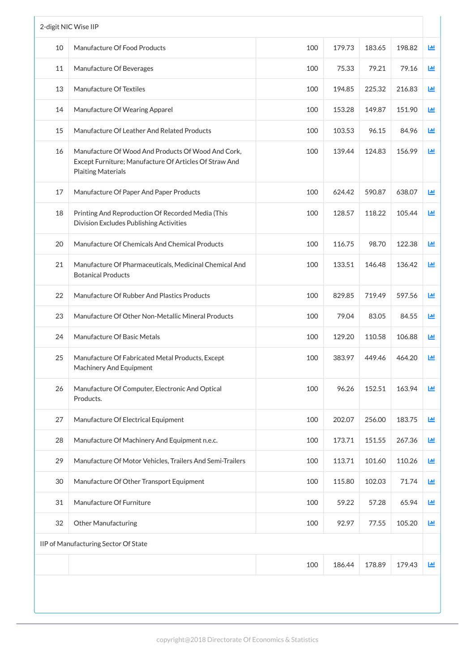|    | 2-digit NIC Wise IIP                                                                                                                      |     |        |        |        |                         |
|----|-------------------------------------------------------------------------------------------------------------------------------------------|-----|--------|--------|--------|-------------------------|
| 10 | Manufacture Of Food Products                                                                                                              | 100 | 179.73 | 183.65 | 198.82 | 画                       |
| 11 | Manufacture Of Beverages                                                                                                                  | 100 | 75.33  | 79.21  | 79.16  | 画                       |
| 13 | Manufacture Of Textiles                                                                                                                   | 100 | 194.85 | 225.32 | 216.83 | ĿЩ                      |
| 14 | Manufacture Of Wearing Apparel                                                                                                            | 100 | 153.28 | 149.87 | 151.90 | ĿЩ                      |
| 15 | Manufacture Of Leather And Related Products                                                                                               | 100 | 103.53 | 96.15  | 84.96  | <b>Jul</b>              |
| 16 | Manufacture Of Wood And Products Of Wood And Cork,<br>Except Furniture; Manufacture Of Articles Of Straw And<br><b>Plaiting Materials</b> | 100 | 139.44 | 124.83 | 156.99 | 画                       |
| 17 | Manufacture Of Paper And Paper Products                                                                                                   | 100 | 624.42 | 590.87 | 638.07 | <b>Ltd</b>              |
| 18 | Printing And Reproduction Of Recorded Media (This<br>Division Excludes Publishing Activities                                              | 100 | 128.57 | 118.22 | 105.44 | 画                       |
| 20 | Manufacture Of Chemicals And Chemical Products                                                                                            | 100 | 116.75 | 98.70  | 122.38 | $\mathbf{L} \mathbf{u}$ |
| 21 | Manufacture Of Pharmaceuticals, Medicinal Chemical And<br><b>Botanical Products</b>                                                       | 100 | 133.51 | 146.48 | 136.42 | Ш                       |
| 22 | Manufacture Of Rubber And Plastics Products                                                                                               | 100 | 829.85 | 719.49 | 597.56 | ĿЩ                      |
| 23 | Manufacture Of Other Non-Metallic Mineral Products                                                                                        | 100 | 79.04  | 83.05  | 84.55  | ĿЩ                      |
| 24 | Manufacture Of Basic Metals                                                                                                               | 100 | 129.20 | 110.58 | 106.88 | ĿЩ                      |
| 25 | Manufacture Of Fabricated Metal Products, Except<br><b>Machinery And Equipment</b>                                                        | 100 | 383.97 | 449.46 | 464.20 | 画                       |
| 26 | Manufacture Of Computer, Electronic And Optical<br>Products.                                                                              | 100 | 96.26  | 152.51 | 163.94 | ĿЩ                      |
| 27 | Manufacture Of Electrical Equipment                                                                                                       | 100 | 202.07 | 256.00 | 183.75 | ĿЩ                      |
| 28 | Manufacture Of Machinery And Equipment n.e.c.                                                                                             | 100 | 173.71 | 151.55 | 267.36 | 画                       |
| 29 | Manufacture Of Motor Vehicles, Trailers And Semi-Trailers                                                                                 | 100 | 113.71 | 101.60 | 110.26 | ĿЩ                      |
| 30 | Manufacture Of Other Transport Equipment                                                                                                  | 100 | 115.80 | 102.03 | 71.74  | 画                       |
| 31 | Manufacture Of Furniture                                                                                                                  | 100 | 59.22  | 57.28  | 65.94  | 画                       |
| 32 | <b>Other Manufacturing</b>                                                                                                                | 100 | 92.97  | 77.55  | 105.20 | 画                       |
|    | IIP of Manufacturing Sector Of State                                                                                                      |     |        |        |        |                         |
|    |                                                                                                                                           | 100 | 186.44 | 178.89 | 179.43 | 画                       |
|    |                                                                                                                                           |     |        |        |        |                         |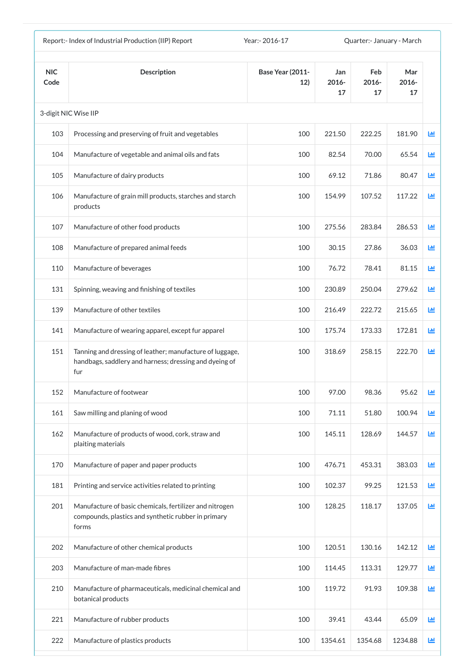|                    | Report:- Index of Industrial Production (IIP) Report                                                                      | Year: - 2016-17                |                    | Quarter:- January - March |                    |            |
|--------------------|---------------------------------------------------------------------------------------------------------------------------|--------------------------------|--------------------|---------------------------|--------------------|------------|
| <b>NIC</b><br>Code | <b>Description</b>                                                                                                        | <b>Base Year (2011-</b><br>12) | Jan<br>2016-<br>17 | Feb<br>$2016 -$<br>17     | Mar<br>2016-<br>17 |            |
|                    | 3-digit NIC Wise IIP                                                                                                      |                                |                    |                           |                    |            |
| 103                | Processing and preserving of fruit and vegetables                                                                         | 100                            | 221.50             | 222.25                    | 181.90             | <b>Lul</b> |
| 104                | Manufacture of vegetable and animal oils and fats                                                                         | 100                            | 82.54              | 70.00                     | 65.54              | 國          |
| 105                | Manufacture of dairy products                                                                                             | 100                            | 69.12              | 71.86                     | 80.47              | 匝          |
| 106                | Manufacture of grain mill products, starches and starch<br>products                                                       | 100                            | 154.99             | 107.52                    | 117.22             | 匝          |
| 107                | Manufacture of other food products                                                                                        | 100                            | 275.56             | 283.84                    | 286.53             | 画          |
| 108                | Manufacture of prepared animal feeds                                                                                      | 100                            | 30.15              | 27.86                     | 36.03              | 画          |
| 110                | Manufacture of beverages                                                                                                  | 100                            | 76.72              | 78.41                     | 81.15              | J.hl       |
| 131                | Spinning, weaving and finishing of textiles                                                                               | 100                            | 230.89             | 250.04                    | 279.62             | 画          |
| 139                | Manufacture of other textiles                                                                                             | 100                            | 216.49             | 222.72                    | 215.65             | ш          |
| 141                | Manufacture of wearing apparel, except fur apparel                                                                        | 100                            | 175.74             | 173.33                    | 172.81             | ш          |
| 151                | Tanning and dressing of leather; manufacture of luggage,<br>handbags, saddlery and harness; dressing and dyeing of<br>fur | 100                            | 318.69             | 258.15                    | 222.70             | ĿЩ         |
| 152                | Manufacture of footwear                                                                                                   | 100                            | 97.00              | 98.36                     | 95.62              | Ш          |
| 161                | Saw milling and planing of wood                                                                                           | 100                            | 71.11              | 51.80                     | 100.94             | 画          |
| 162                | Manufacture of products of wood, cork, straw and<br>plaiting materials                                                    | 100                            | 145.11             | 128.69                    | 144.57             | 匝          |
| 170                | Manufacture of paper and paper products                                                                                   | 100                            | 476.71             | 453.31                    | 383.03             | 画          |
| 181                | Printing and service activities related to printing                                                                       | 100                            | 102.37             | 99.25                     | 121.53             | 画          |
| 201                | Manufacture of basic chemicals, fertilizer and nitrogen<br>compounds, plastics and synthetic rubber in primary<br>forms   | 100                            | 128.25             | 118.17                    | 137.05             | 画          |
| 202                | Manufacture of other chemical products                                                                                    | 100                            | 120.51             | 130.16                    | 142.12             | Ш          |
| 203                | Manufacture of man-made fibres                                                                                            | 100                            | 114.45             | 113.31                    | 129.77             | 画          |
| 210                | Manufacture of pharmaceuticals, medicinal chemical and<br>botanical products                                              | 100                            | 119.72             | 91.93                     | 109.38             | 画          |
| 221                | Manufacture of rubber products                                                                                            | 100                            | 39.41              | 43.44                     | 65.09              | Ш          |
| 222                | Manufacture of plastics products                                                                                          | 100                            | 1354.61            | 1354.68                   | 1234.88            | ш          |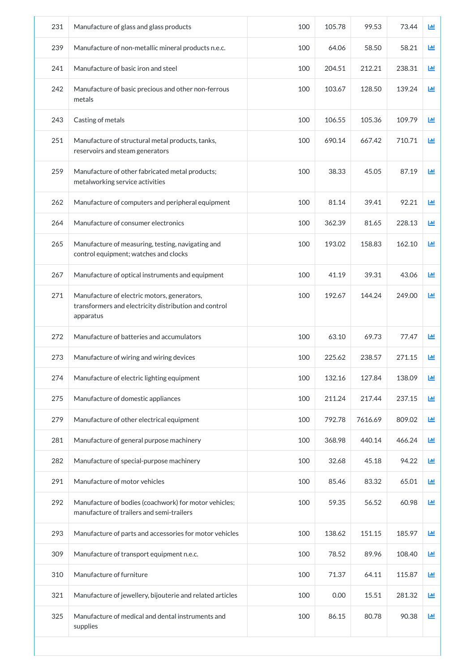| 231 | Manufacture of glass and glass products                                                                           | 100 | 105.78 | 99.53   | 73.44  | 匝 |
|-----|-------------------------------------------------------------------------------------------------------------------|-----|--------|---------|--------|---|
| 239 | Manufacture of non-metallic mineral products n.e.c.                                                               | 100 | 64.06  | 58.50   | 58.21  | ш |
| 241 | Manufacture of basic iron and steel                                                                               | 100 | 204.51 | 212.21  | 238.31 | ш |
| 242 | Manufacture of basic precious and other non-ferrous<br>metals                                                     | 100 | 103.67 | 128.50  | 139.24 | 匝 |
| 243 | Casting of metals                                                                                                 | 100 | 106.55 | 105.36  | 109.79 | 画 |
| 251 | Manufacture of structural metal products, tanks,<br>reservoirs and steam generators                               | 100 | 690.14 | 667.42  | 710.71 | 画 |
| 259 | Manufacture of other fabricated metal products;<br>metalworking service activities                                | 100 | 38.33  | 45.05   | 87.19  | 匝 |
| 262 | Manufacture of computers and peripheral equipment                                                                 | 100 | 81.14  | 39.41   | 92.21  | 匝 |
| 264 | Manufacture of consumer electronics                                                                               | 100 | 362.39 | 81.65   | 228.13 | 画 |
| 265 | Manufacture of measuring, testing, navigating and<br>control equipment; watches and clocks                        | 100 | 193.02 | 158.83  | 162.10 | 画 |
| 267 | Manufacture of optical instruments and equipment                                                                  | 100 | 41.19  | 39.31   | 43.06  | 画 |
| 271 | Manufacture of electric motors, generators,<br>transformers and electricity distribution and control<br>apparatus | 100 | 192.67 | 144.24  | 249.00 | 画 |
| 272 | Manufacture of batteries and accumulators                                                                         | 100 | 63.10  | 69.73   | 77.47  | 画 |
| 273 | Manufacture of wiring and wiring devices                                                                          | 100 | 225.62 | 238.57  | 271.15 | ш |
| 274 | Manufacture of electric lighting equipment                                                                        | 100 | 132.16 | 127.84  | 138.09 | ш |
| 275 | Manufacture of domestic appliances                                                                                | 100 | 211.24 | 217.44  | 237.15 | 画 |
| 279 | Manufacture of other electrical equipment                                                                         | 100 | 792.78 | 7616.69 | 809.02 | 画 |
| 281 | Manufacture of general purpose machinery                                                                          | 100 | 368.98 | 440.14  | 466.24 | 画 |
| 282 | Manufacture of special-purpose machinery                                                                          | 100 | 32.68  | 45.18   | 94.22  | 画 |
| 291 | Manufacture of motor vehicles                                                                                     | 100 | 85.46  | 83.32   | 65.01  | 画 |
| 292 | Manufacture of bodies (coachwork) for motor vehicles;<br>manufacture of trailers and semi-trailers                | 100 | 59.35  | 56.52   | 60.98  | 画 |
| 293 | Manufacture of parts and accessories for motor vehicles                                                           | 100 | 138.62 | 151.15  | 185.97 | 画 |
| 309 | Manufacture of transport equipment n.e.c.                                                                         | 100 | 78.52  | 89.96   | 108.40 | 画 |
| 310 | Manufacture of furniture                                                                                          | 100 | 71.37  | 64.11   | 115.87 | 画 |
| 321 | Manufacture of jewellery, bijouterie and related articles                                                         | 100 | 0.00   | 15.51   | 281.32 | 画 |
| 325 | Manufacture of medical and dental instruments and<br>supplies                                                     | 100 | 86.15  | 80.78   | 90.38  | 画 |
|     |                                                                                                                   |     |        |         |        |   |